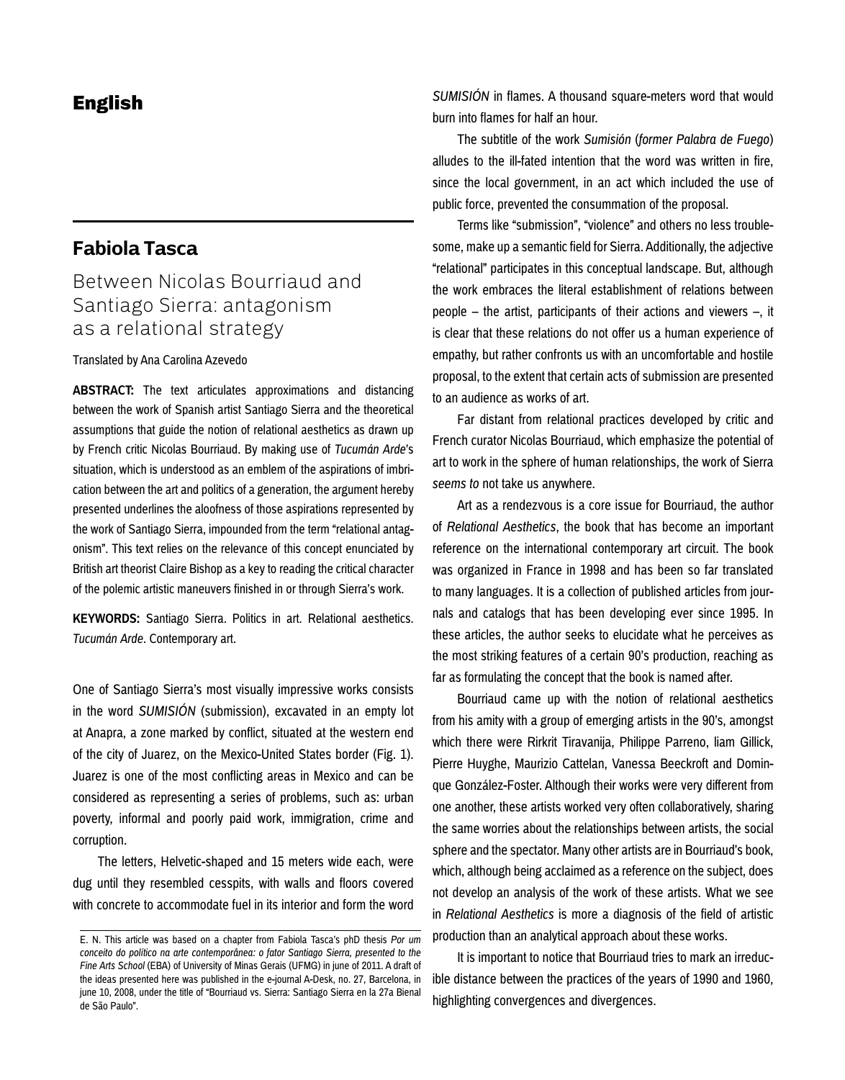## **Fabiola Tasca**

# Between Nicolas Bourriaud and Santiago Sierra: antagonism as a relational strategy

Translated by Ana Carolina Azevedo

**ABSTRACT:** The text articulates approximations and distancing between the work of Spanish artist Santiago Sierra and the theoretical assumptions that guide the notion of relational aesthetics as drawn up by French critic Nicolas Bourriaud. By making use of *Tucumán Arde*'s situation, which is understood as an emblem of the aspirations of imbrication between the art and politics of a generation, the argument hereby presented underlines the aloofness of those aspirations represented by the work of Santiago Sierra, impounded from the term "relational antagonism". This text relies on the relevance of this concept enunciated by British art theorist Claire Bishop as a key to reading the critical character of the polemic artistic maneuvers finished in or through Sierra's work.

**KEYWORDS:** Santiago Sierra. Politics in art. Relational aesthetics. *Tucumán Arde*. Contemporary art.

One of Santiago Sierra's most visually impressive works consists in the word *SUMISIÓN* (submission), excavated in an empty lot at Anapra, a zone marked by conflict, situated at the western end of the city of Juarez, on the Mexico-United States border (Fig. 1). Juarez is one of the most conflicting areas in Mexico and can be considered as representing a series of problems, such as: urban poverty, informal and poorly paid work, immigration, crime and corruption.

The letters, Helvetic-shaped and 15 meters wide each, were dug until they resembled cesspits, with walls and floors covered with concrete to accommodate fuel in its interior and form the word

*SUMISIÓN* in flames. A thousand square-meters word that would burn into flames for half an hour.

The subtitle of the work *Sumisión* (*former Palabra de Fuego*) alludes to the ill-fated intention that the word was written in fire, since the local government, in an act which included the use of public force, prevented the consummation of the proposal.

Terms like "submission", "violence" and others no less troublesome, make up a semantic field for Sierra. Additionally, the adjective "relational" participates in this conceptual landscape. But, although the work embraces the literal establishment of relations between people – the artist, participants of their actions and viewers –, it is clear that these relations do not offer us a human experience of empathy, but rather confronts us with an uncomfortable and hostile proposal, to the extent that certain acts of submission are presented to an audience as works of art.

Far distant from relational practices developed by critic and French curator Nicolas Bourriaud, which emphasize the potential of art to work in the sphere of human relationships, the work of Sierra *seems to* not take us anywhere.

Art as a rendezvous is a core issue for Bourriaud, the author of *Relational Aesthetics*, the book that has become an important reference on the international contemporary art circuit. The book was organized in France in 1998 and has been so far translated to many languages. It is a collection of published articles from journals and catalogs that has been developing ever since 1995. In these articles, the author seeks to elucidate what he perceives as the most striking features of a certain 90's production, reaching as far as formulating the concept that the book is named after.

Bourriaud came up with the notion of relational aesthetics from his amity with a group of emerging artists in the 90's, amongst which there were Rirkrit Tiravanija, Philippe Parreno, liam Gillick, Pierre Huyghe, Maurizio Cattelan, Vanessa Beeckroft and Dominque González-Foster. Although their works were very different from one another, these artists worked very often collaboratively, sharing the same worries about the relationships between artists, the social sphere and the spectator. Many other artists are in Bourriaud's book, which, although being acclaimed as a reference on the subject, does not develop an analysis of the work of these artists. What we see in *Relational Aesthetics* is more a diagnosis of the field of artistic production than an analytical approach about these works.

It is important to notice that Bourriaud tries to mark an irreducible distance between the practices of the years of 1990 and 1960, highlighting convergences and divergences.

E. N. This article was based on a chapter from Fabiola Tasca's phD thesis *Por um conceito do político na arte contemporânea: o fator Santiago Sierra, presented to the Fine Arts School* (EBA) of University of Minas Gerais (UFMG) in june of 2011. A draft of the ideas presented here was published in the e-journal A-Desk, no. 27, Barcelona, in june 10, 2008, under the title of "Bourriaud vs. Sierra: Santiago Sierra en la 27a Bienal de São Paulo".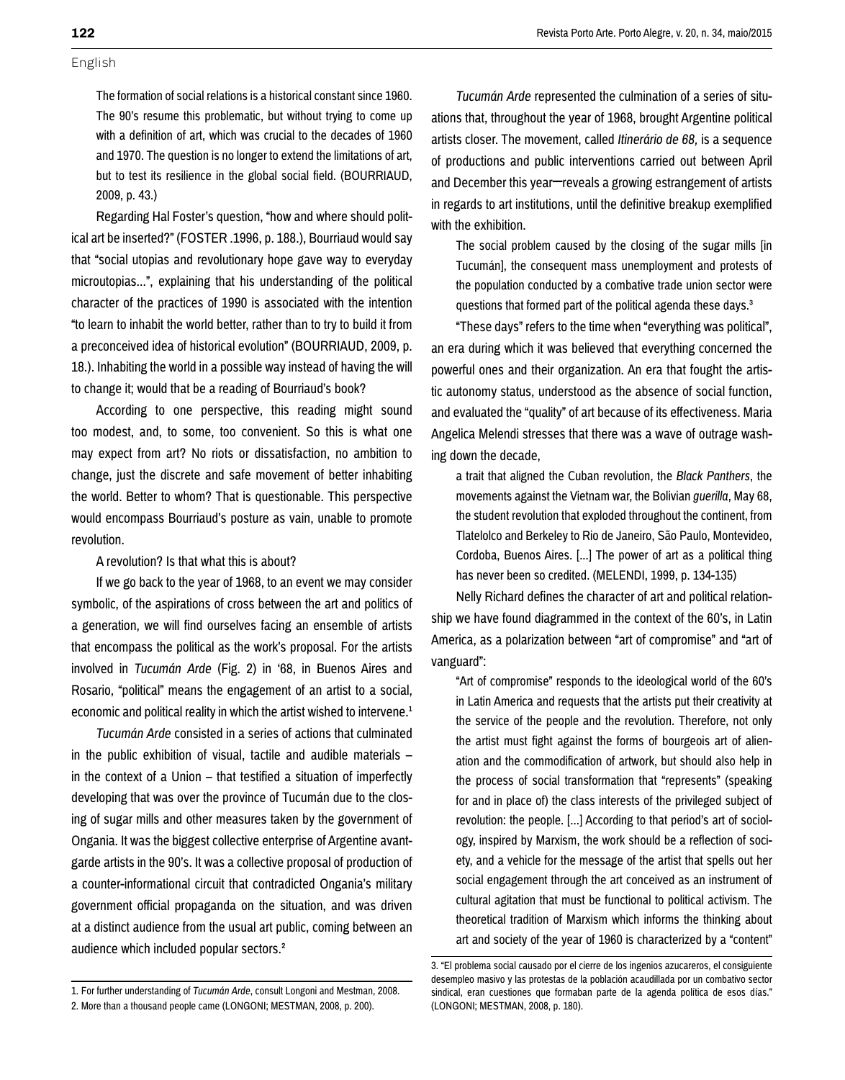The formation of social relations is a historical constant since 1960. The 90's resume this problematic, but without trying to come up with a definition of art, which was crucial to the decades of 1960 and 1970. The question is no longer to extend the limitations of art, but to test its resilience in the global social field. (BOURRIAUD, 2009, p. 43.)

Regarding Hal Foster's question, "how and where should political art be inserted?" (FOSTER .1996, p. 188.), Bourriaud would say that "social utopias and revolutionary hope gave way to everyday microutopias...", explaining that his understanding of the political character of the practices of 1990 is associated with the intention "to learn to inhabit the world better, rather than to try to build it from a preconceived idea of historical evolution" (BOURRIAUD, 2009, p. 18.). Inhabiting the world in a possible way instead of having the will to change it; would that be a reading of Bourriaud's book?

According to one perspective, this reading might sound too modest, and, to some, too convenient. So this is what one may expect from art? No riots or dissatisfaction, no ambition to change, just the discrete and safe movement of better inhabiting the world. Better to whom? That is questionable. This perspective would encompass Bourriaud's posture as vain, unable to promote revolution.

A revolution? Is that what this is about?

If we go back to the year of 1968, to an event we may consider symbolic, of the aspirations of cross between the art and politics of a generation, we will find ourselves facing an ensemble of artists that encompass the political as the work's proposal. For the artists involved in *Tucumán Arde* (Fig. 2) in '68, in Buenos Aires and Rosario, "political" means the engagement of an artist to a social, economic and political reality in which the artist wished to intervene.<sup>1</sup>

*Tucumán Arde* consisted in a series of actions that culminated in the public exhibition of visual, tactile and audible materials – in the context of a Union – that testified a situation of imperfectly developing that was over the province of Tucumán due to the closing of sugar mills and other measures taken by the government of Ongania. It was the biggest collective enterprise of Argentine avantgarde artists in the 90's. It was a collective proposal of production of a counter-informational circuit that contradicted Ongania's military government official propaganda on the situation, and was driven at a distinct audience from the usual art public, coming between an audience which included popular sectors.2

*Tucumán Arde* represented the culmination of a series of situations that, throughout the year of 1968, brought Argentine political artists closer. The movement, called *Itinerário de 68,* is a sequence of productions and public interventions carried out between April and December this year–reveals a growing estrangement of artists in regards to art institutions, until the definitive breakup exemplified with the exhibition.

The social problem caused by the closing of the sugar mills [in Tucumán], the consequent mass unemployment and protests of the population conducted by a combative trade union sector were questions that formed part of the political agenda these days.<sup>3</sup>

"These days" refers to the time when "everything was political", an era during which it was believed that everything concerned the powerful ones and their organization. An era that fought the artistic autonomy status, understood as the absence of social function, and evaluated the "quality" of art because of its effectiveness. Maria Angelica Melendi stresses that there was a wave of outrage washing down the decade,

a trait that aligned the Cuban revolution, the *Black Panthers*, the movements against the Vietnam war, the Bolivian *guerilla*, May 68, the student revolution that exploded throughout the continent, from Tlatelolco and Berkeley to Rio de Janeiro, São Paulo, Montevideo, Cordoba, Buenos Aires. [...] The power of art as a political thing has never been so credited. (MELENDI, 1999, p. 134-135)

Nelly Richard defines the character of art and political relationship we have found diagrammed in the context of the 60's, in Latin America, as a polarization between "art of compromise" and "art of vanguard":

"Art of compromise" responds to the ideological world of the 60's in Latin America and requests that the artists put their creativity at the service of the people and the revolution. Therefore, not only the artist must fight against the forms of bourgeois art of alienation and the commodification of artwork, but should also help in the process of social transformation that "represents" (speaking for and in place of) the class interests of the privileged subject of revolution: the people. [...] According to that period's art of sociology, inspired by Marxism, the work should be a reflection of society, and a vehicle for the message of the artist that spells out her social engagement through the art conceived as an instrument of cultural agitation that must be functional to political activism. The theoretical tradition of Marxism which informs the thinking about art and society of the year of 1960 is characterized by a "content"

<sup>1.</sup> For further understanding of *Tucumán Arde*, consult Longoni and Mestman, 2008. 2. More than a thousand people came (LONGONI; MESTMAN, 2008, p. 200).

<sup>3. &</sup>quot;El problema social causado por el cierre de los ingenios azucareros, el consiguiente desempleo masivo y las protestas de la población acaudillada por un combativo sector sindical, eran cuestiones que formaban parte de la agenda política de esos días." (LONGONI; MESTMAN, 2008, p. 180).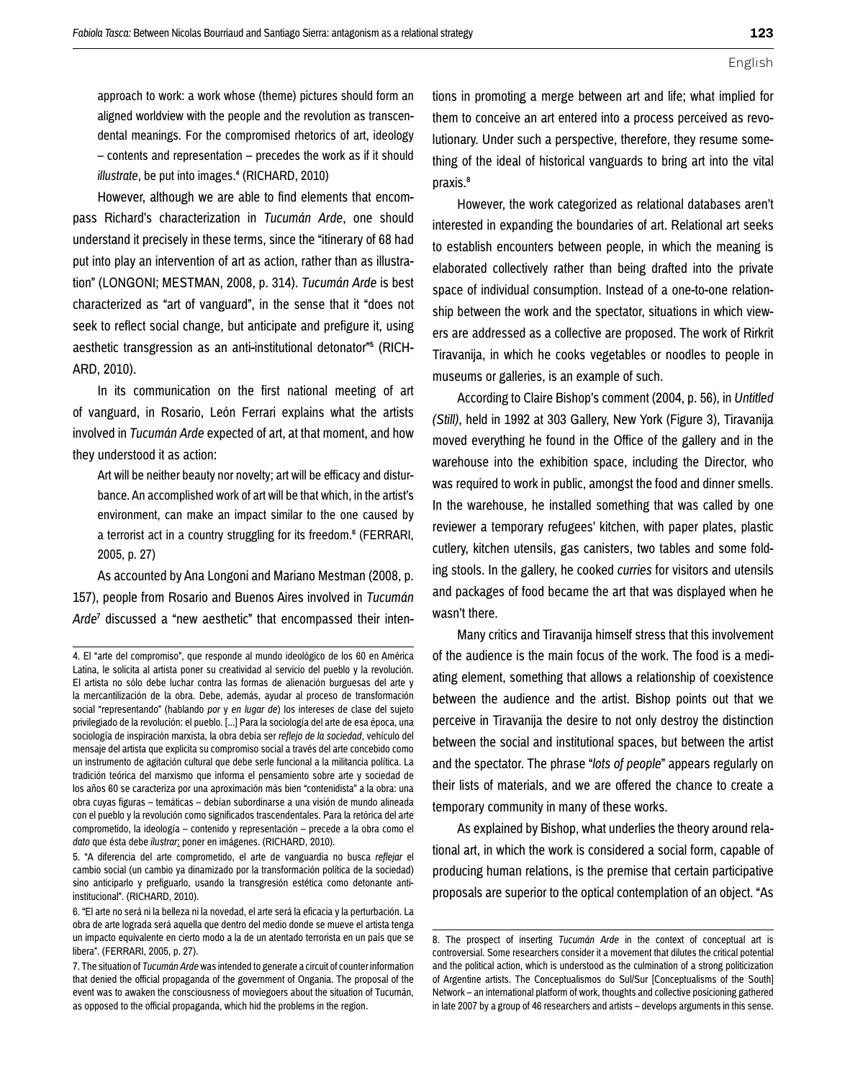**123**

approach to work: a work whose (theme) pictures should form an aligned worldview with the people and the revolution as transcendental meanings. For the compromised rhetorics of art, ideology – contents and representation – precedes the work as if it should *illustrate*, be put into images.<sup>4</sup> (RICHARD, 2010)

However, although we are able to find elements that encompass Richard's characterization in *Tucumán Arde*, one should understand it precisely in these terms, since the "itinerary of 68 had put into play an intervention of art as action, rather than as illustration" (LONGONI; MESTMAN, 2008, p. 314). *Tucumán Arde* is best characterized as "art of vanguard", in the sense that it "does not seek to reflect social change, but anticipate and prefigure it, using aesthetic transgression as an anti-institutional detonator"5 (RICH-ARD, 2010).

In its communication on the first national meeting of art of vanguard, in Rosario, León Ferrari explains what the artists involved in *Tucumán Arde* expected of art, at that moment, and how they understood it as action:

Art will be neither beauty nor novelty; art will be efficacy and disturbance. An accomplished work of art will be that which, in the artist's environment, can make an impact similar to the one caused by a terrorist act in a country struggling for its freedom.<sup>6</sup> (FERRARI, 2005, p. 27)

As accounted by Ana Longoni and Mariano Mestman (2008, p. 157), people from Rosario and Buenos Aires involved in *Tucumán Arde*7 discussed a "new aesthetic" that encompassed their inten-

5. "A diferencia del arte comprometido, el arte de vanguardia no busca *reflejar* el cambio social (un cambio ya dinamizado por la transformación política de la sociedad) sino anticiparlo y prefiguarlo, usando la transgresión estética como detonante antiinstitucional". (RICHARD, 2010).

tions in promoting a merge between art and life; what implied for them to conceive an art entered into a process perceived as revolutionary. Under such a perspective, therefore, they resume something of the ideal of historical vanguards to bring art into the vital praxis.<sup>8</sup>

However, the work categorized as relational databases aren't interested in expanding the boundaries of art. Relational art seeks to establish encounters between people, in which the meaning is elaborated collectively rather than being drafted into the private space of individual consumption. Instead of a one-to-one relationship between the work and the spectator, situations in which viewers are addressed as a collective are proposed. The work of Rirkrit Tiravanija, in which he cooks vegetables or noodles to people in museums or galleries, is an example of such.

According to Claire Bishop's comment (2004, p. 56), in *Untitled (Still)*, held in 1992 at 303 Gallery, New York (Figure 3), Tiravanija moved everything he found in the Office of the gallery and in the warehouse into the exhibition space, including the Director, who was required to work in public, amongst the food and dinner smells. In the warehouse, he installed something that was called by one reviewer a temporary refugees' kitchen, with paper plates, plastic cutlery, kitchen utensils, gas canisters, two tables and some folding stools. In the gallery, he cooked *curries* for visitors and utensils and packages of food became the art that was displayed when he wasn't there.

Many critics and Tiravanija himself stress that this involvement of the audience is the main focus of the work. The food is a mediating element, something that allows a relationship of coexistence between the audience and the artist. Bishop points out that we perceive in Tiravanija the desire to not only destroy the distinction between the social and institutional spaces, but between the artist and the spectator. The phrase "*lots of people*" appears regularly on their lists of materials, and we are offered the chance to create a temporary community in many of these works.

As explained by Bishop, what underlies the theory around relational art, in which the work is considered a social form, capable of producing human relations, is the premise that certain participative proposals are superior to the optical contemplation of an object. "As

<sup>4.</sup> El "arte del compromiso", que responde al mundo ideológico de los 60 en América Latina, le solicita al artista poner su creatividad al servicio del pueblo y la revolución. El artista no sólo debe luchar contra las formas de alienación burguesas del arte y la mercantilización de la obra. Debe, además, ayudar al proceso de transformación social "representando" (hablando *por* y *en lugar de*) los intereses de clase del sujeto privilegiado de la revolución: el pueblo. [...] Para la sociología del arte de esa época, una sociología de inspiración marxista, la obra debía ser *reflejo de la sociedad*, vehículo del mensaje del artista que explicita su compromiso social a través del arte concebido como un instrumento de agitación cultural que debe serle funcional a la militancia política. La tradición teórica del marxismo que informa el pensamiento sobre arte y sociedad de los años 60 se caracteriza por una aproximación más bien "contenidista" a la obra: una obra cuyas figuras – temáticas – debían subordinarse a una visión de mundo alineada con el pueblo y la revolución como significados trascendentales. Para la retórica del arte comprometido, la ideología – contenido y representación – precede a la obra como el *dato* que ésta debe *ilustrar*: poner en imágenes. (RICHARD, 2010).

<sup>6. &</sup>quot;El arte no será ni la belleza ni la novedad, el arte será la eficacia y la perturbación. La obra de arte lograda será aquella que dentro del medio donde se mueve el artista tenga un impacto equivalente en cierto modo a la de un atentado terrorista en un país que se libera". (FERRARI, 2005, p. 27).

<sup>7.</sup> The situation of *Tucumán Arde* was intended to generate a circuit of counter information that denied the official propaganda of the government of Ongania. The proposal of the event was to awaken the consciousness of moviegoers about the situation of Tucumán, as opposed to the official propaganda, which hid the problems in the region.

<sup>8.</sup> The prospect of inserting *Tucumán Arde* in the context of conceptual art is controversial. Some researchers consider it a movement that dilutes the critical potential and the political action, which is understood as the culmination of a strong politicization of Argentine artists. The Conceptualismos do Sul/Sur [Conceptualisms of the South] Network – an international platform of work, thoughts and collective posicioning gathered in late 2007 by a group of 46 researchers and artists – develops arguments in this sense.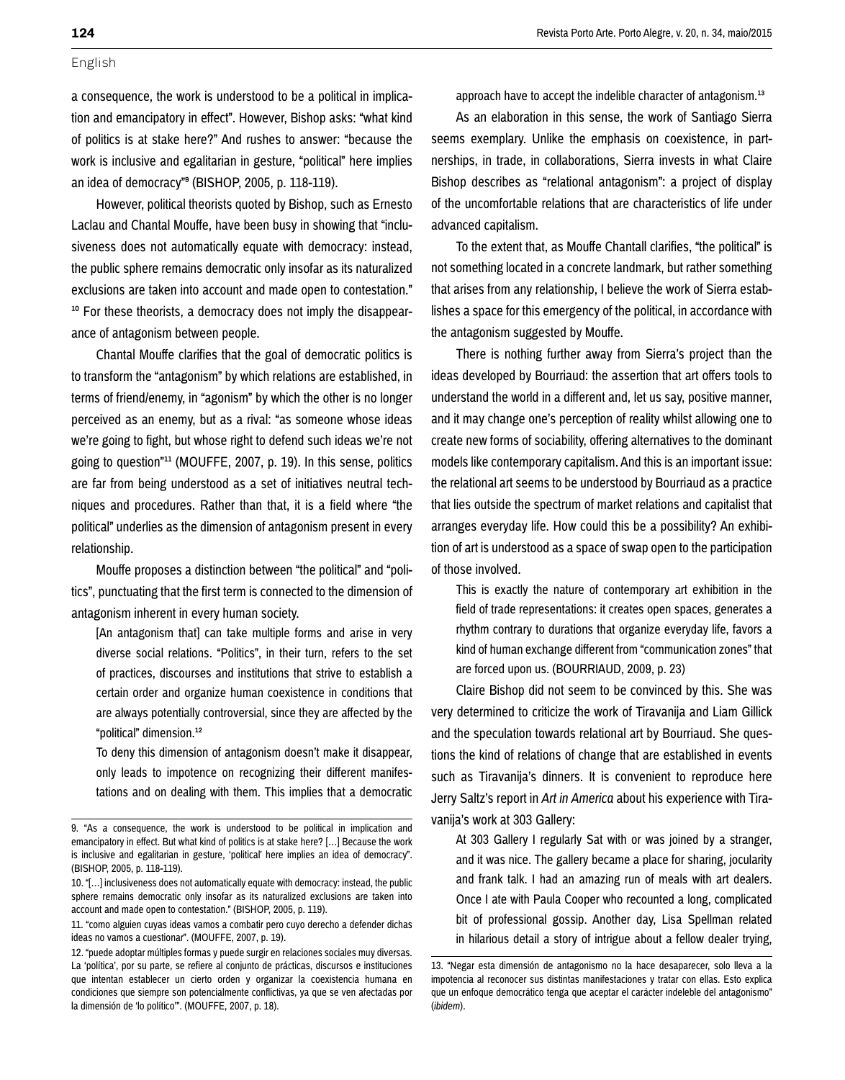a consequence, the work is understood to be a political in implication and emancipatory in effect". However, Bishop asks: "what kind of politics is at stake here?" And rushes to answer: "because the work is inclusive and egalitarian in gesture, "political" here implies an idea of democracy"9 (BISHOP, 2005, p. 118-119).

However, political theorists quoted by Bishop, such as Ernesto Laclau and Chantal Mouffe, have been busy in showing that "inclusiveness does not automatically equate with democracy: instead, the public sphere remains democratic only insofar as its naturalized exclusions are taken into account and made open to contestation." <sup>10</sup> For these theorists, a democracy does not imply the disappearance of antagonism between people.

Chantal Mouffe clarifies that the goal of democratic politics is to transform the "antagonism" by which relations are established, in terms of friend/enemy, in "agonism" by which the other is no longer perceived as an enemy, but as a rival: "as someone whose ideas we're going to fight, but whose right to defend such ideas we're not going to question"11 (MOUFFE, 2007, p. 19). In this sense, politics are far from being understood as a set of initiatives neutral techniques and procedures. Rather than that, it is a field where "the political" underlies as the dimension of antagonism present in every relationship.

Mouffe proposes a distinction between "the political" and "politics", punctuating that the first term is connected to the dimension of antagonism inherent in every human society.

[An antagonism that] can take multiple forms and arise in very diverse social relations. "Politics", in their turn, refers to the set of practices, discourses and institutions that strive to establish a certain order and organize human coexistence in conditions that are always potentially controversial, since they are affected by the "political" dimension.<sup>12</sup>

To deny this dimension of antagonism doesn't make it disappear, only leads to impotence on recognizing their different manifestations and on dealing with them. This implies that a democratic approach have to accept the indelible character of antagonism.<sup>13</sup>

As an elaboration in this sense, the work of Santiago Sierra seems exemplary. Unlike the emphasis on coexistence, in partnerships, in trade, in collaborations, Sierra invests in what Claire Bishop describes as "relational antagonism": a project of display of the uncomfortable relations that are characteristics of life under advanced capitalism.

To the extent that, as Mouffe Chantall clarifies, "the political" is not something located in a concrete landmark, but rather something that arises from any relationship, I believe the work of Sierra establishes a space for this emergency of the political, in accordance with the antagonism suggested by Mouffe.

There is nothing further away from Sierra's project than the ideas developed by Bourriaud: the assertion that art offers tools to understand the world in a different and, let us say, positive manner, and it may change one's perception of reality whilst allowing one to create new forms of sociability, offering alternatives to the dominant models like contemporary capitalism. And this is an important issue: the relational art seems to be understood by Bourriaud as a practice that lies outside the spectrum of market relations and capitalist that arranges everyday life. How could this be a possibility? An exhibition of art is understood as a space of swap open to the participation of those involved.

This is exactly the nature of contemporary art exhibition in the field of trade representations: it creates open spaces, generates a rhythm contrary to durations that organize everyday life, favors a kind of human exchange different from "communication zones" that are forced upon us. (BOURRIAUD, 2009, p. 23)

Claire Bishop did not seem to be convinced by this. She was very determined to criticize the work of Tiravanija and Liam Gillick and the speculation towards relational art by Bourriaud. She questions the kind of relations of change that are established in events such as Tiravanija's dinners. It is convenient to reproduce here Jerry Saltz's report in *Art in America* about his experience with Tiravanija's work at 303 Gallery:

At 303 Gallery I regularly Sat with or was joined by a stranger, and it was nice. The gallery became a place for sharing, jocularity and frank talk. I had an amazing run of meals with art dealers. Once I ate with Paula Cooper who recounted a long, complicated bit of professional gossip. Another day, Lisa Spellman related in hilarious detail a story of intrigue about a fellow dealer trying,

<sup>9. &</sup>quot;As a consequence, the work is understood to be political in implication and emancipatory in effect. But what kind of politics is at stake here? […] Because the work is inclusive and egalitarian in gesture, 'political' here implies an idea of democracy". (BISHOP, 2005, p. 118-119).

<sup>10. &</sup>quot;[…] inclusiveness does not automatically equate with democracy: instead, the public sphere remains democratic only insofar as its naturalized exclusions are taken into account and made open to contestation." (BISHOP, 2005, p. 119).

<sup>11. &</sup>quot;como alguien cuyas ideas vamos a combatir pero cuyo derecho a defender dichas ideas no vamos a cuestionar". (MOUFFE, 2007, p. 19).

<sup>12. &</sup>quot;puede adoptar múltiples formas y puede surgir en relaciones sociales muy diversas. La 'política', por su parte, se refiere al conjunto de prácticas, discursos e instituciones que intentan establecer un cierto orden y organizar la coexistencia humana en condiciones que siempre son potencialmente conflictivas, ya que se ven afectadas por la dimensión de 'lo político'". (MOUFFE, 2007, p. 18).

<sup>13. &</sup>quot;Negar esta dimensión de antagonismo no la hace desaparecer, solo lleva a la impotencia al reconocer sus distintas manifestaciones y tratar con ellas. Esto explica que un enfoque democrático tenga que aceptar el carácter indeleble del antagonismo" (*ibidem*).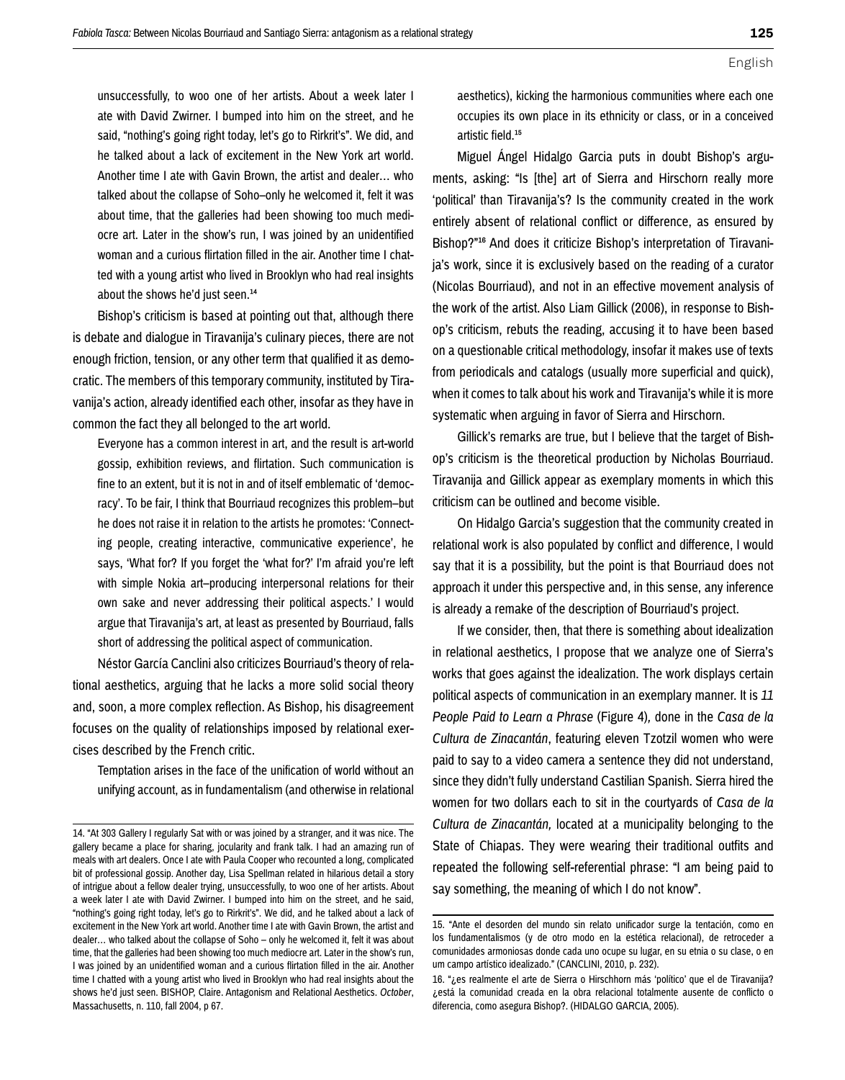unsuccessfully, to woo one of her artists. About a week later I ate with David Zwirner. I bumped into him on the street, and he said, "nothing's going right today, let's go to Rirkrit's". We did, and he talked about a lack of excitement in the New York art world. Another time I ate with Gavin Brown, the artist and dealer… who talked about the collapse of Soho–only he welcomed it, felt it was about time, that the galleries had been showing too much mediocre art. Later in the show's run, I was joined by an unidentified woman and a curious flirtation filled in the air. Another time I chatted with a young artist who lived in Brooklyn who had real insights about the shows he'd just seen.<sup>14</sup>

Bishop's criticism is based at pointing out that, although there is debate and dialogue in Tiravanija's culinary pieces, there are not enough friction, tension, or any other term that qualified it as democratic. The members of this temporary community, instituted by Tiravanija's action, already identified each other, insofar as they have in common the fact they all belonged to the art world.

Everyone has a common interest in art, and the result is art-world gossip, exhibition reviews, and flirtation. Such communication is fine to an extent, but it is not in and of itself emblematic of 'democracy'. To be fair, I think that Bourriaud recognizes this problem–but he does not raise it in relation to the artists he promotes: 'Connecting people, creating interactive, communicative experience', he says, 'What for? If you forget the 'what for?' I'm afraid you're left with simple Nokia art–producing interpersonal relations for their own sake and never addressing their political aspects.' I would argue that Tiravanija's art, at least as presented by Bourriaud, falls short of addressing the political aspect of communication.

Néstor García Canclini also criticizes Bourriaud's theory of relational aesthetics, arguing that he lacks a more solid social theory and, soon, a more complex reflection. As Bishop, his disagreement focuses on the quality of relationships imposed by relational exercises described by the French critic.

Temptation arises in the face of the unification of world without an unifying account, as in fundamentalism (and otherwise in relational aesthetics), kicking the harmonious communities where each one occupies its own place in its ethnicity or class, or in a conceived artistic field.15

Miguel Ángel Hidalgo Garcia puts in doubt Bishop's arguments, asking: "Is [the] art of Sierra and Hirschorn really more 'political' than Tiravanija's? Is the community created in the work entirely absent of relational conflict or difference, as ensured by Bishop?"16 And does it criticize Bishop's interpretation of Tiravanija's work, since it is exclusively based on the reading of a curator (Nicolas Bourriaud), and not in an effective movement analysis of the work of the artist. Also Liam Gillick (2006), in response to Bishop's criticism, rebuts the reading, accusing it to have been based on a questionable critical methodology, insofar it makes use of texts from periodicals and catalogs (usually more superficial and quick), when it comes to talk about his work and Tiravanija's while it is more systematic when arguing in favor of Sierra and Hirschorn.

Gillick's remarks are true, but I believe that the target of Bishop's criticism is the theoretical production by Nicholas Bourriaud. Tiravanija and Gillick appear as exemplary moments in which this criticism can be outlined and become visible.

On Hidalgo Garcia's suggestion that the community created in relational work is also populated by conflict and difference, I would say that it is a possibility, but the point is that Bourriaud does not approach it under this perspective and, in this sense, any inference is already a remake of the description of Bourriaud's project.

If we consider, then, that there is something about idealization in relational aesthetics, I propose that we analyze one of Sierra's works that goes against the idealization. The work displays certain political aspects of communication in an exemplary manner. It is *11 People Paid to Learn a Phrase* (Figure 4)*,* done in the *Casa de la Cultura de Zinacantán*, featuring eleven Tzotzil women who were paid to say to a video camera a sentence they did not understand, since they didn't fully understand Castilian Spanish. Sierra hired the women for two dollars each to sit in the courtyards of *Casa de la Cultura de Zinacantán,* located at a municipality belonging to the State of Chiapas. They were wearing their traditional outfits and repeated the following self-referential phrase: "I am being paid to say something, the meaning of which I do not know".

<sup>14. &</sup>quot;At 303 Gallery I regularly Sat with or was joined by a stranger, and it was nice. The gallery became a place for sharing, jocularity and frank talk. I had an amazing run of meals with art dealers. Once I ate with Paula Cooper who recounted a long, complicated bit of professional gossip. Another day, Lisa Spellman related in hilarious detail a story of intrigue about a fellow dealer trying, unsuccessfully, to woo one of her artists. About a week later I ate with David Zwirner. I bumped into him on the street, and he said, "nothing's going right today, let's go to Rirkrit's". We did, and he talked about a lack of excitement in the New York art world. Another time I ate with Gavin Brown, the artist and dealer… who talked about the collapse of Soho – only he welcomed it, felt it was about time, that the galleries had been showing too much mediocre art. Later in the show's run, I was joined by an unidentified woman and a curious flirtation filled in the air. Another time I chatted with a young artist who lived in Brooklyn who had real insights about the shows he'd just seen. BISHOP, Claire. Antagonism and Relational Aesthetics. *October*, Massachusetts, n. 110, fall 2004, p 67.

<sup>15. &</sup>quot;Ante el desorden del mundo sin relato unificador surge la tentación, como en los fundamentalismos (y de otro modo en la estética relacional), de retroceder a comunidades armoniosas donde cada uno ocupe su lugar, en su etnia o su clase, o en um campo artístico idealizado." (CANCLINI, 2010, p. 232).

<sup>16. &</sup>quot;¿es realmente el arte de Sierra o Hirschhorn más 'político' que el de Tiravanija? ¿está la comunidad creada en la obra relacional totalmente ausente de conflicto o diferencia, como asegura Bishop?. (HIDALGO GARCIA, 2005).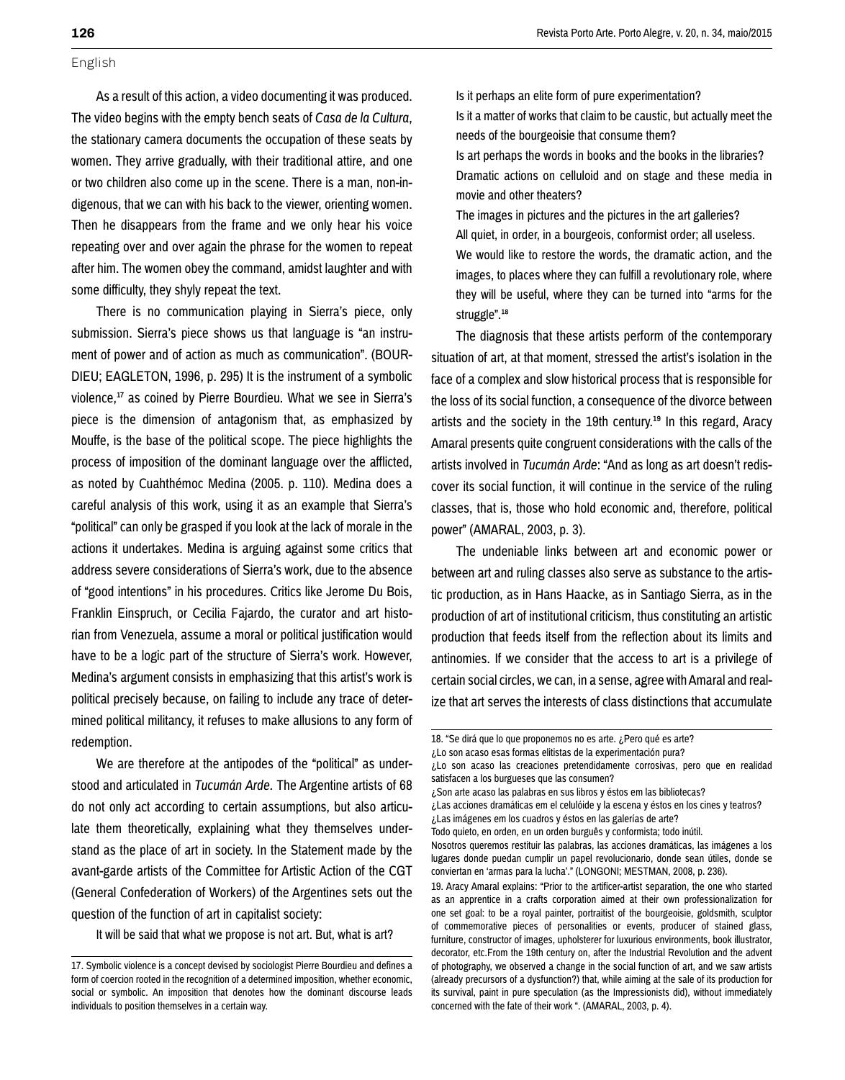As a result of this action, a video documenting it was produced. The video begins with the empty bench seats of *Casa de la Cultura*, the stationary camera documents the occupation of these seats by women. They arrive gradually, with their traditional attire, and one or two children also come up in the scene. There is a man, non-indigenous, that we can with his back to the viewer, orienting women. Then he disappears from the frame and we only hear his voice repeating over and over again the phrase for the women to repeat after him. The women obey the command, amidst laughter and with some difficulty, they shyly repeat the text.

There is no communication playing in Sierra's piece, only submission. Sierra's piece shows us that language is "an instrument of power and of action as much as communication". (BOUR-DIEU; EAGLETON, 1996, p. 295) It is the instrument of a symbolic violence,<sup>17</sup> as coined by Pierre Bourdieu. What we see in Sierra's piece is the dimension of antagonism that, as emphasized by Mouffe, is the base of the political scope. The piece highlights the process of imposition of the dominant language over the afflicted, as noted by Cuahthémoc Medina (2005. p. 110). Medina does a careful analysis of this work, using it as an example that Sierra's "political" can only be grasped if you look at the lack of morale in the actions it undertakes. Medina is arguing against some critics that address severe considerations of Sierra's work, due to the absence of "good intentions" in his procedures. Critics like Jerome Du Bois, Franklin Einspruch, or Cecilia Fajardo, the curator and art historian from Venezuela, assume a moral or political justification would have to be a logic part of the structure of Sierra's work. However, Medina's argument consists in emphasizing that this artist's work is political precisely because, on failing to include any trace of determined political militancy, it refuses to make allusions to any form of redemption.

We are therefore at the antipodes of the "political" as understood and articulated in *Tucumán Arde.* The Argentine artists of 68 do not only act according to certain assumptions, but also articulate them theoretically, explaining what they themselves understand as the place of art in society. In the Statement made by the avant-garde artists of the Committee for Artistic Action of the CGT (General Confederation of Workers) of the Argentines sets out the question of the function of art in capitalist society:

It will be said that what we propose is not art. But, what is art?

Is it perhaps an elite form of pure experimentation?

Is it a matter of works that claim to be caustic, but actually meet the needs of the bourgeoisie that consume them? Is art perhaps the words in books and the books in the libraries?

Dramatic actions on celluloid and on stage and these media in movie and other theaters?

The images in pictures and the pictures in the art galleries? All quiet, in order, in a bourgeois, conformist order; all useless. We would like to restore the words, the dramatic action, and the images, to places where they can fulfill a revolutionary role, where they will be useful, where they can be turned into "arms for the struggle".<sup>18</sup>

The diagnosis that these artists perform of the contemporary situation of art, at that moment, stressed the artist's isolation in the face of a complex and slow historical process that is responsible for the loss of its social function, a consequence of the divorce between artists and the society in the 19th century.<sup>19</sup> In this regard, Aracy Amaral presents quite congruent considerations with the calls of the artists involved in *Tucumán Arde*: "And as long as art doesn't rediscover its social function, it will continue in the service of the ruling classes, that is, those who hold economic and, therefore, political power" (AMARAL, 2003, p. 3).

The undeniable links between art and economic power or between art and ruling classes also serve as substance to the artistic production, as in Hans Haacke, as in Santiago Sierra, as in the production of art of institutional criticism, thus constituting an artistic production that feeds itself from the reflection about its limits and antinomies. If we consider that the access to art is a privilege of certain social circles, we can, in a sense, agree with Amaral and realize that art serves the interests of class distinctions that accumulate

¿Lo son acaso esas formas elitistas de la experimentación pura?

¿Son arte acaso las palabras en sus libros y éstos em las bibliotecas?

19. Aracy Amaral explains: "Prior to the artificer-artist separation, the one who started as an apprentice in a crafts corporation aimed at their own professionalization for one set goal: to be a royal painter, portraitist of the bourgeoisie, goldsmith, sculptor of commemorative pieces of personalities or events, producer of stained glass, furniture, constructor of images, upholsterer for luxurious environments, book illustrator, decorator, etc.From the 19th century on, after the Industrial Revolution and the advent of photography, we observed a change in the social function of art, and we saw artists (already precursors of a dysfunction?) that, while aiming at the sale of its production for its survival, paint in pure speculation (as the Impressionists did), without immediately concerned with the fate of their work ". (AMARAL, 2003, p. 4).

<sup>17.</sup> Symbolic violence is a concept devised by sociologist Pierre Bourdieu and defines a form of coercion rooted in the recognition of a determined imposition, whether economic, social or symbolic. An imposition that denotes how the dominant discourse leads individuals to position themselves in a certain way.

<sup>18. &</sup>quot;Se dirá que lo que proponemos no es arte. ¿Pero qué es arte?

<sup>¿</sup>Lo son acaso las creaciones pretendidamente corrosivas, pero que en realidad satisfacen a los burgueses que las consumen?

<sup>¿</sup>Las acciones dramáticas em el celulóide y la escena y éstos en los cines y teatros? ¿Las imágenes em los cuadros y éstos en las galerías de arte?

Todo quieto, en orden, en un orden burguês y conformista; todo inútil.

Nosotros queremos restituir las palabras, las acciones dramáticas, las imágenes a los

lugares donde puedan cumplir un papel revolucionario, donde sean útiles, donde se conviertan en 'armas para la lucha'." (LONGONI; MESTMAN, 2008, p. 236).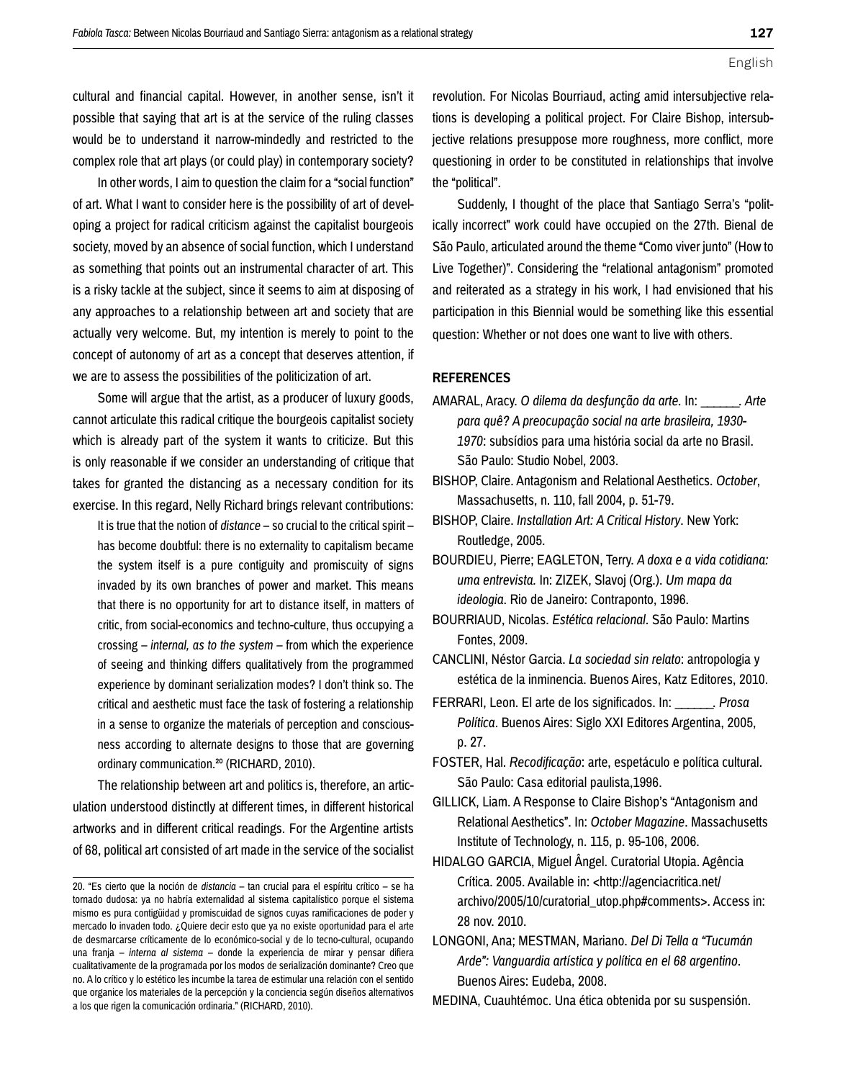cultural and financial capital. However, in another sense, isn't it possible that saying that art is at the service of the ruling classes would be to understand it narrow-mindedly and restricted to the complex role that art plays (or could play) in contemporary society?

In other words, I aim to question the claim for a "social function" of art. What I want to consider here is the possibility of art of developing a project for radical criticism against the capitalist bourgeois society, moved by an absence of social function, which I understand as something that points out an instrumental character of art. This is a risky tackle at the subject, since it seems to aim at disposing of any approaches to a relationship between art and society that are actually very welcome. But, my intention is merely to point to the concept of autonomy of art as a concept that deserves attention, if we are to assess the possibilities of the politicization of art.

Some will argue that the artist, as a producer of luxury goods, cannot articulate this radical critique the bourgeois capitalist society which is already part of the system it wants to criticize. But this is only reasonable if we consider an understanding of critique that takes for granted the distancing as a necessary condition for its exercise. In this regard, Nelly Richard brings relevant contributions:

It is true that the notion of *distance* – so crucial to the critical spirit – has become doubtful: there is no externality to capitalism became the system itself is a pure contiguity and promiscuity of signs invaded by its own branches of power and market. This means that there is no opportunity for art to distance itself, in matters of critic, from social-economics and techno-culture, thus occupying a crossing – *internal, as to the system* – from which the experience of seeing and thinking differs qualitatively from the programmed experience by dominant serialization modes? I don't think so. The critical and aesthetic must face the task of fostering a relationship in a sense to organize the materials of perception and consciousness according to alternate designs to those that are governing ordinary communication.<sup>20</sup> (RICHARD, 2010).

The relationship between art and politics is, therefore, an articulation understood distinctly at different times, in different historical artworks and in different critical readings. For the Argentine artists of 68, political art consisted of art made in the service of the socialist

revolution. For Nicolas Bourriaud, acting amid intersubjective relations is developing a political project. For Claire Bishop, intersubjective relations presuppose more roughness, more conflict, more questioning in order to be constituted in relationships that involve the "political".

Suddenly, I thought of the place that Santiago Serra's "politically incorrect" work could have occupied on the 27th. Bienal de São Paulo, articulated around the theme "Como viver junto" (How to Live Together)". Considering the "relational antagonism" promoted and reiterated as a strategy in his work, I had envisioned that his participation in this Biennial would be something like this essential question: Whether or not does one want to live with others.

### **REFERENCES**

- AMARAL, Aracy. *O dilema da desfunção da arte.* In: \_\_\_\_\_\_. *Arte para quê? A preocupação social na arte brasileira, 1930- 1970*: subsídios para uma história social da arte no Brasil. São Paulo: Studio Nobel, 2003.
- BISHOP, Claire. Antagonism and Relational Aesthetics. *October*, Massachusetts, n. 110, fall 2004, p. 51-79.
- BISHOP, Claire. *Installation Art: A Critical History*. New York: Routledge, 2005.
- BOURDIEU, Pierre; EAGLETON, Terry. *A doxa e a vida cotidiana: uma entrevista.* In: ZIZEK, Slavoj (Org.). *Um mapa da ideologia*. Rio de Janeiro: Contraponto, 1996.
- BOURRIAUD, Nicolas. *Estética relacional*. São Paulo: Martins Fontes, 2009.
- CANCLINI, Néstor Garcia. *La sociedad sin relato*: antropologia y estética de la inminencia. Buenos Aires, Katz Editores, 2010.
- FERRARI, Leon. El arte de los significados. In: \_\_\_\_\_\_. *Prosa Política*. Buenos Aires: Siglo XXI Editores Argentina, 2005, p. 27.
- FOSTER, Hal. *Recodificação*: arte, espetáculo e política cultural. São Paulo: Casa editorial paulista,1996.
- GILLICK, Liam. A Response to Claire Bishop's "Antagonism and Relational Aesthetics". In: *October Magazine*. Massachusetts Institute of Technology, n. 115, p. 95-106, 2006.
- HIDALGO GARCIA, Miguel Ângel. Curatorial Utopia. Agência Crítica. 2005. Available in: <http://agenciacritica.net/ archivo/2005/10/curatorial\_utop.php#comments>. Access in: 28 nov. 2010.
- LONGONI, Ana; MESTMAN, Mariano. *Del Di Tella a "Tucumán Arde": Vanguardia artística y política en el 68 argentino*. Buenos Aires: Eudeba, 2008.

MEDINA, Cuauhtémoc. Una ética obtenida por su suspensión.

<sup>20. &</sup>quot;Es cierto que la noción de *distancia* – tan crucial para el espíritu crítico – se ha tornado dudosa: ya no habría externalidad al sistema capitalístico porque el sistema mismo es pura contigüidad y promiscuidad de signos cuyas ramificaciones de poder y mercado lo invaden todo. ¿Quiere decir esto que ya no existe oportunidad para el arte de desmarcarse críticamente de lo económico-social y de lo tecno-cultural, ocupando una franja – *interna al sistema –* donde la experiencia de mirar y pensar difiera cualitativamente de la programada por los modos de serialización dominante? Creo que no. A lo crítico y lo estético les incumbe la tarea de estimular una relación con el sentido que organice los materiales de la percepción y la conciencia según diseños alternativos a los que rigen la comunicación ordinaria." (RICHARD, 2010).